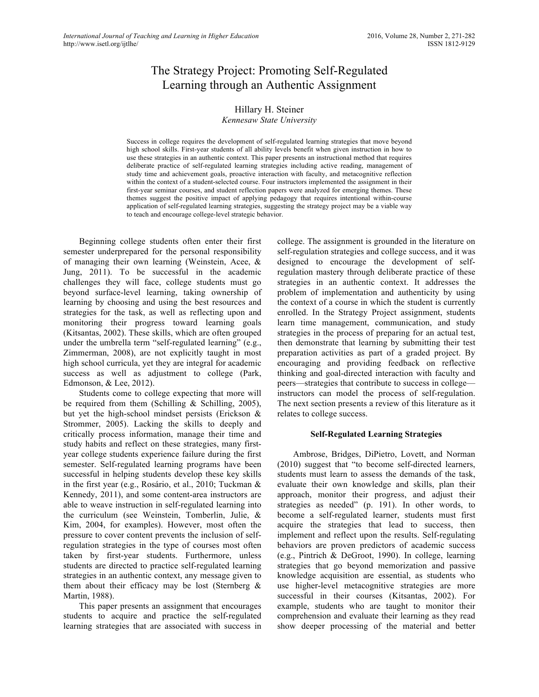# The Strategy Project: Promoting Self-Regulated Learning through an Authentic Assignment

# Hillary H. Steiner

#### *Kennesaw State University*

Success in college requires the development of self-regulated learning strategies that move beyond high school skills. First-year students of all ability levels benefit when given instruction in how to use these strategies in an authentic context. This paper presents an instructional method that requires deliberate practice of self-regulated learning strategies including active reading, management of study time and achievement goals, proactive interaction with faculty, and metacognitive reflection within the context of a student-selected course. Four instructors implemented the assignment in their first-year seminar courses, and student reflection papers were analyzed for emerging themes. These themes suggest the positive impact of applying pedagogy that requires intentional within-course application of self-regulated learning strategies, suggesting the strategy project may be a viable way to teach and encourage college-level strategic behavior.

Beginning college students often enter their first semester underprepared for the personal responsibility of managing their own learning (Weinstein, Acee, & Jung, 2011). To be successful in the academic challenges they will face, college students must go beyond surface-level learning, taking ownership of learning by choosing and using the best resources and strategies for the task, as well as reflecting upon and monitoring their progress toward learning goals (Kitsantas, 2002). These skills, which are often grouped under the umbrella term "self-regulated learning" (e.g., Zimmerman, 2008), are not explicitly taught in most high school curricula, yet they are integral for academic success as well as adjustment to college (Park, Edmonson, & Lee, 2012).

Students come to college expecting that more will be required from them (Schilling & Schilling, 2005), but yet the high-school mindset persists (Erickson & Strommer, 2005). Lacking the skills to deeply and critically process information, manage their time and study habits and reflect on these strategies, many firstyear college students experience failure during the first semester. Self-regulated learning programs have been successful in helping students develop these key skills in the first year (e.g., Rosário, et al., 2010; Tuckman & Kennedy, 2011), and some content-area instructors are able to weave instruction in self-regulated learning into the curriculum (see Weinstein, Tomberlin, Julie, & Kim, 2004, for examples). However, most often the pressure to cover content prevents the inclusion of selfregulation strategies in the type of courses most often taken by first-year students. Furthermore, unless students are directed to practice self-regulated learning strategies in an authentic context, any message given to them about their efficacy may be lost (Sternberg & Martin, 1988).

This paper presents an assignment that encourages students to acquire and practice the self-regulated learning strategies that are associated with success in

college. The assignment is grounded in the literature on self-regulation strategies and college success, and it was designed to encourage the development of selfregulation mastery through deliberate practice of these strategies in an authentic context. It addresses the problem of implementation and authenticity by using the context of a course in which the student is currently enrolled. In the Strategy Project assignment, students learn time management, communication, and study strategies in the process of preparing for an actual test, then demonstrate that learning by submitting their test preparation activities as part of a graded project. By encouraging and providing feedback on reflective thinking and goal-directed interaction with faculty and peers—strategies that contribute to success in college instructors can model the process of self-regulation. The next section presents a review of this literature as it relates to college success.

### **Self-Regulated Learning Strategies**

Ambrose, Bridges, DiPietro, Lovett, and Norman (2010) suggest that "to become self-directed learners, students must learn to assess the demands of the task, evaluate their own knowledge and skills, plan their approach, monitor their progress, and adjust their strategies as needed" (p. 191). In other words, to become a self-regulated learner, students must first acquire the strategies that lead to success, then implement and reflect upon the results. Self-regulating behaviors are proven predictors of academic success (e.g., Pintrich & DeGroot, 1990). In college, learning strategies that go beyond memorization and passive knowledge acquisition are essential, as students who use higher-level metacognitive strategies are more successful in their courses (Kitsantas, 2002). For example, students who are taught to monitor their comprehension and evaluate their learning as they read show deeper processing of the material and better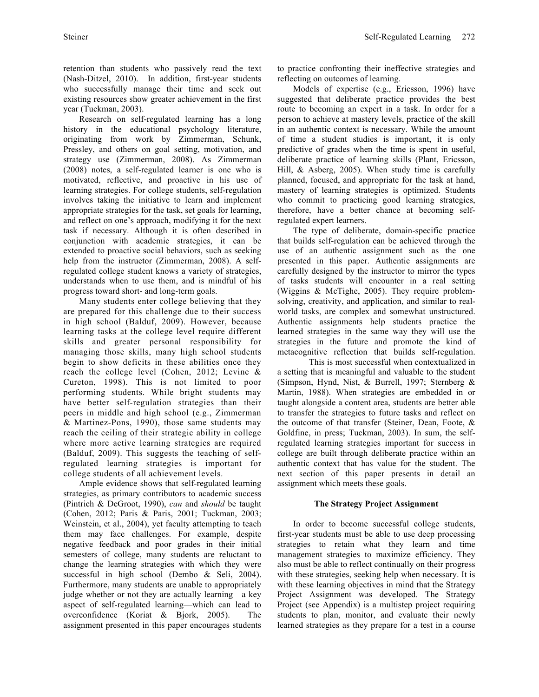retention than students who passively read the text (Nash-Ditzel, 2010). In addition, first-year students who successfully manage their time and seek out existing resources show greater achievement in the first year (Tuckman, 2003).

Research on self-regulated learning has a long history in the educational psychology literature, originating from work by Zimmerman, Schunk, Pressley, and others on goal setting, motivation, and strategy use (Zimmerman, 2008). As Zimmerman (2008) notes, a self-regulated learner is one who is motivated, reflective, and proactive in his use of learning strategies. For college students, self-regulation involves taking the initiative to learn and implement appropriate strategies for the task, set goals for learning, and reflect on one's approach, modifying it for the next task if necessary. Although it is often described in conjunction with academic strategies, it can be extended to proactive social behaviors, such as seeking help from the instructor (Zimmerman, 2008). A selfregulated college student knows a variety of strategies, understands when to use them, and is mindful of his progress toward short- and long-term goals.

Many students enter college believing that they are prepared for this challenge due to their success in high school (Balduf, 2009). However, because learning tasks at the college level require different skills and greater personal responsibility for managing those skills, many high school students begin to show deficits in these abilities once they reach the college level (Cohen, 2012; Levine & Cureton, 1998). This is not limited to poor performing students. While bright students may have better self-regulation strategies than their peers in middle and high school (e.g., Zimmerman & Martinez-Pons, 1990), those same students may reach the ceiling of their strategic ability in college where more active learning strategies are required (Balduf, 2009). This suggests the teaching of selfregulated learning strategies is important for college students of all achievement levels.

Ample evidence shows that self-regulated learning strategies, as primary contributors to academic success (Pintrich & DeGroot, 1990), *can* and *should* be taught (Cohen, 2012; Paris & Paris, 2001; Tuckman, 2003; Weinstein, et al., 2004), yet faculty attempting to teach them may face challenges. For example, despite negative feedback and poor grades in their initial semesters of college, many students are reluctant to change the learning strategies with which they were successful in high school (Dembo & Seli, 2004). Furthermore, many students are unable to appropriately judge whether or not they are actually learning—a key aspect of self-regulated learning—which can lead to overconfidence (Koriat & Bjork, 2005). The assignment presented in this paper encourages students

to practice confronting their ineffective strategies and reflecting on outcomes of learning.

Models of expertise (e.g., Ericsson, 1996) have suggested that deliberate practice provides the best route to becoming an expert in a task. In order for a person to achieve at mastery levels, practice of the skill in an authentic context is necessary. While the amount of time a student studies is important, it is only predictive of grades when the time is spent in useful, deliberate practice of learning skills (Plant, Ericsson, Hill, & Asberg, 2005). When study time is carefully planned, focused, and appropriate for the task at hand, mastery of learning strategies is optimized. Students who commit to practicing good learning strategies, therefore, have a better chance at becoming selfregulated expert learners.

The type of deliberate, domain-specific practice that builds self-regulation can be achieved through the use of an authentic assignment such as the one presented in this paper. Authentic assignments are carefully designed by the instructor to mirror the types of tasks students will encounter in a real setting (Wiggins & McTighe, 2005). They require problemsolving, creativity, and application, and similar to realworld tasks, are complex and somewhat unstructured. Authentic assignments help students practice the learned strategies in the same way they will use the strategies in the future and promote the kind of metacognitive reflection that builds self-regulation.

This is most successful when contextualized in a setting that is meaningful and valuable to the student (Simpson, Hynd, Nist, & Burrell, 1997; Sternberg & Martin, 1988). When strategies are embedded in or taught alongside a content area, students are better able to transfer the strategies to future tasks and reflect on the outcome of that transfer (Steiner, Dean, Foote, & Goldfine, in press; Tuckman, 2003). In sum, the selfregulated learning strategies important for success in college are built through deliberate practice within an authentic context that has value for the student. The next section of this paper presents in detail an assignment which meets these goals.

### **The Strategy Project Assignment**

In order to become successful college students, first-year students must be able to use deep processing strategies to retain what they learn and time management strategies to maximize efficiency. They also must be able to reflect continually on their progress with these strategies, seeking help when necessary. It is with these learning objectives in mind that the Strategy Project Assignment was developed. The Strategy Project (see Appendix) is a multistep project requiring students to plan, monitor, and evaluate their newly learned strategies as they prepare for a test in a course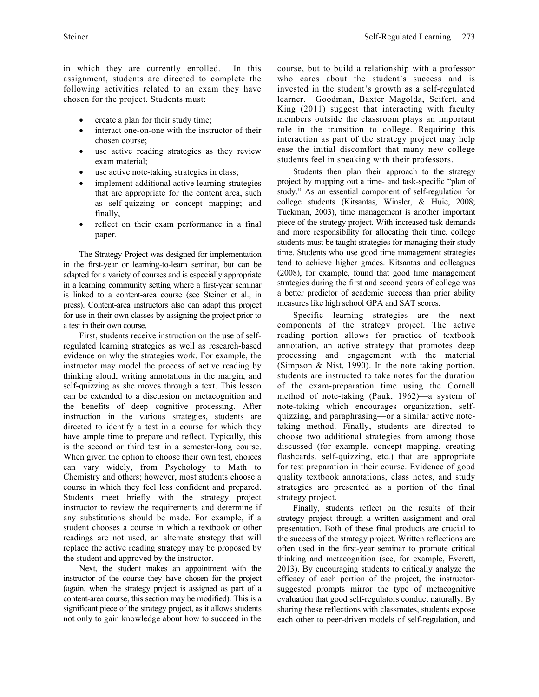in which they are currently enrolled. In this assignment, students are directed to complete the following activities related to an exam they have chosen for the project. Students must:

- create a plan for their study time;
- interact one-on-one with the instructor of their chosen course;
- use active reading strategies as they review exam material;
- use active note-taking strategies in class;
- implement additional active learning strategies that are appropriate for the content area, such as self-quizzing or concept mapping; and finally,
- reflect on their exam performance in a final paper.

The Strategy Project was designed for implementation in the first-year or learning-to-learn seminar, but can be adapted for a variety of courses and is especially appropriate in a learning community setting where a first-year seminar is linked to a content-area course (see Steiner et al., in press). Content-area instructors also can adapt this project for use in their own classes by assigning the project prior to a test in their own course.

First, students receive instruction on the use of selfregulated learning strategies as well as research-based evidence on why the strategies work. For example, the instructor may model the process of active reading by thinking aloud, writing annotations in the margin, and self-quizzing as she moves through a text. This lesson can be extended to a discussion on metacognition and the benefits of deep cognitive processing. After instruction in the various strategies, students are directed to identify a test in a course for which they have ample time to prepare and reflect. Typically, this is the second or third test in a semester-long course. When given the option to choose their own test, choices can vary widely, from Psychology to Math to Chemistry and others; however, most students choose a course in which they feel less confident and prepared. Students meet briefly with the strategy project instructor to review the requirements and determine if any substitutions should be made. For example, if a student chooses a course in which a textbook or other readings are not used, an alternate strategy that will replace the active reading strategy may be proposed by the student and approved by the instructor.

Next, the student makes an appointment with the instructor of the course they have chosen for the project (again, when the strategy project is assigned as part of a content-area course, this section may be modified). This is a significant piece of the strategy project, as it allows students not only to gain knowledge about how to succeed in the

course, but to build a relationship with a professor who cares about the student's success and is invested in the student's growth as a self-regulated learner. Goodman, Baxter Magolda, Seifert, and King (2011) suggest that interacting with faculty members outside the classroom plays an important role in the transition to college. Requiring this interaction as part of the strategy project may help ease the initial discomfort that many new college students feel in speaking with their professors.

Students then plan their approach to the strategy project by mapping out a time- and task-specific "plan of study." As an essential component of self-regulation for college students (Kitsantas, Winsler, & Huie, 2008; Tuckman, 2003), time management is another important piece of the strategy project. With increased task demands and more responsibility for allocating their time, college students must be taught strategies for managing their study time. Students who use good time management strategies tend to achieve higher grades. Kitsantas and colleagues (2008), for example, found that good time management strategies during the first and second years of college was a better predictor of academic success than prior ability measures like high school GPA and SAT scores.

Specific learning strategies are the next components of the strategy project. The active reading portion allows for practice of textbook annotation, an active strategy that promotes deep processing and engagement with the material (Simpson & Nist, 1990). In the note taking portion, students are instructed to take notes for the duration of the exam-preparation time using the Cornell method of note-taking (Pauk, 1962)—a system of note-taking which encourages organization, selfquizzing, and paraphrasing—or a similar active notetaking method. Finally, students are directed to choose two additional strategies from among those discussed (for example, concept mapping, creating flashcards, self-quizzing, etc.) that are appropriate for test preparation in their course. Evidence of good quality textbook annotations, class notes, and study strategies are presented as a portion of the final strategy project.

Finally, students reflect on the results of their strategy project through a written assignment and oral presentation. Both of these final products are crucial to the success of the strategy project. Written reflections are often used in the first-year seminar to promote critical thinking and metacognition (see, for example, Everett, 2013). By encouraging students to critically analyze the efficacy of each portion of the project, the instructorsuggested prompts mirror the type of metacognitive evaluation that good self-regulators conduct naturally. By sharing these reflections with classmates, students expose each other to peer-driven models of self-regulation, and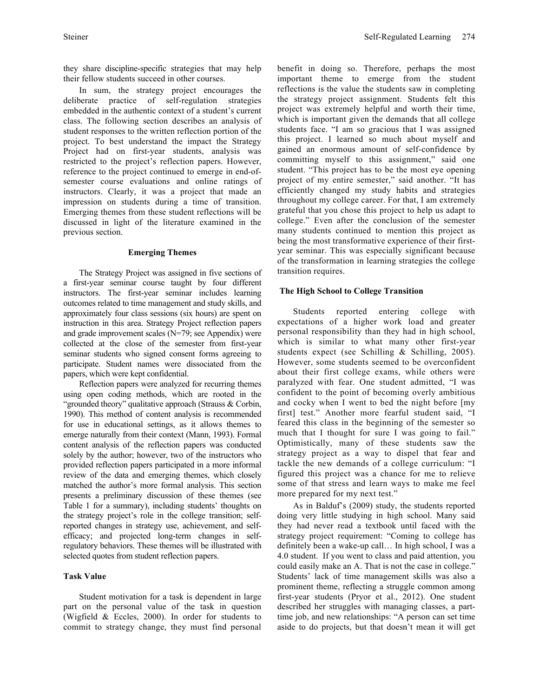they share discipline-specific strategies that may help their fellow students succeed in other courses.

In sum, the strategy project encourages the deliberate practice of self-regulation strategies embedded in the authentic context of a student's current class. The following section describes an analysis of student responses to the written reflection portion of the project. To best understand the impact the Strategy Project had on first-year students, analysis was restricted to the project's reflection papers. However, reference to the project continued to emerge in end-ofsemester course evaluations and online ratings of instructors. Clearly, it was a project that made an impression on students during a time of transition. Emerging themes from these student reflections will be discussed in light of the literature examined in the previous section.

#### **Emerging Themes**

The Strategy Project was assigned in five sections of a first-year seminar course taught by four different instructors. The first-year seminar includes learning outcomes related to time management and study skills, and approximately four class sessions (six hours) are spent on instruction in this area. Strategy Project reflection papers and grade improvement scales (N=79; see Appendix) were collected at the close of the semester from first-year seminar students who signed consent forms agreeing to participate. Student names were dissociated from the papers, which were kept confidential.

Reflection papers were analyzed for recurring themes using open coding methods, which are rooted in the "grounded theory" qualitative approach (Strauss & Corbin, 1990). This method of content analysis is recommended for use in educational settings, as it allows themes to emerge naturally from their context (Mann, 1993). Formal content analysis of the reflection papers was conducted solely by the author; however, two of the instructors who provided reflection papers participated in a more informal review of the data and emerging themes, which closely matched the author's more formal analysis. This section presents a preliminary discussion of these themes (see Table 1 for a summary), including students' thoughts on the strategy project's role in the college transition; selfreported changes in strategy use, achievement, and selfefficacy; and projected long-term changes in selfregulatory behaviors. These themes will be illustrated with selected quotes from student reflection papers.

#### **Task Value**

Student motivation for a task is dependent in large part on the personal value of the task in question (Wigfield & Eccles, 2000). In order for students to commit to strategy change, they must find personal

benefit in doing so. Therefore, perhaps the most important theme to emerge from the student reflections is the value the students saw in completing the strategy project assignment. Students felt this project was extremely helpful and worth their time, which is important given the demands that all college students face. "I am so gracious that I was assigned this project. I learned so much about myself and gained an enormous amount of self-confidence by committing myself to this assignment," said one student. "This project has to be the most eye opening project of my entire semester," said another. "It has efficiently changed my study habits and strategies throughout my college career. For that, I am extremely grateful that you chose this project to help us adapt to college." Even after the conclusion of the semester many students continued to mention this project as being the most transformative experience of their firstyear seminar. This was especially significant because of the transformation in learning strategies the college transition requires.

#### **The High School to College Transition**

Students reported entering college with expectations of a higher work load and greater personal responsibility than they had in high school, which is similar to what many other first-year students expect (see Schilling & Schilling, 2005). However, some students seemed to be overconfident about their first college exams, while others were paralyzed with fear. One student admitted, "I was confident to the point of becoming overly ambitious and cocky when I went to bed the night before [my first] test." Another more fearful student said, "I feared this class in the beginning of the semester so much that I thought for sure I was going to fail." Optimistically, many of these students saw the strategy project as a way to dispel that fear and tackle the new demands of a college curriculum: "I figured this project was a chance for me to relieve some of that stress and learn ways to make me feel more prepared for my next test."

As in Balduf's (2009) study, the students reported doing very little studying in high school. Many said they had never read a textbook until faced with the strategy project requirement: "Coming to college has definitely been a wake-up call… In high school, I was a 4.0 student. If you went to class and paid attention, you could easily make an A. That is not the case in college." Students' lack of time management skills was also a prominent theme, reflecting a struggle common among first-year students (Pryor et al., 2012). One student described her struggles with managing classes, a parttime job, and new relationships: "A person can set time aside to do projects, but that doesn't mean it will get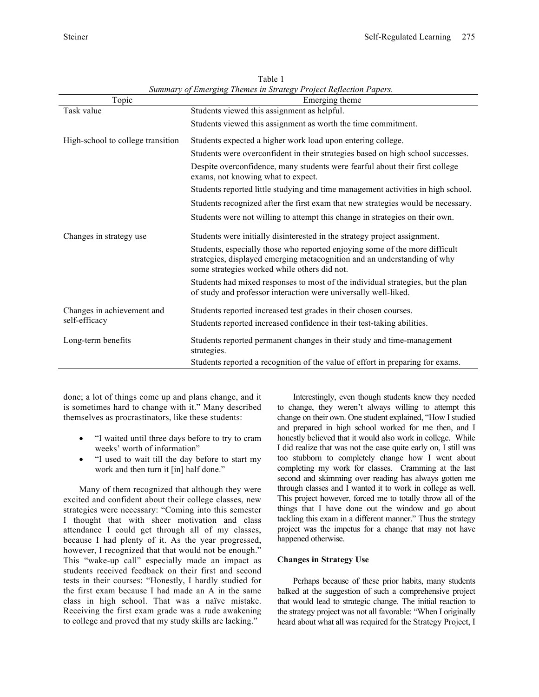| Topic                                       | Emerging theme                                                                                                                                                                                          |  |  |
|---------------------------------------------|---------------------------------------------------------------------------------------------------------------------------------------------------------------------------------------------------------|--|--|
| Task value                                  | Students viewed this assignment as helpful.                                                                                                                                                             |  |  |
|                                             | Students viewed this assignment as worth the time commitment.                                                                                                                                           |  |  |
| High-school to college transition           | Students expected a higher work load upon entering college.                                                                                                                                             |  |  |
|                                             | Students were overconfident in their strategies based on high school successes.                                                                                                                         |  |  |
|                                             | Despite overconfidence, many students were fearful about their first college<br>exams, not knowing what to expect.                                                                                      |  |  |
|                                             | Students reported little studying and time management activities in high school.                                                                                                                        |  |  |
|                                             | Students recognized after the first exam that new strategies would be necessary.                                                                                                                        |  |  |
|                                             | Students were not willing to attempt this change in strategies on their own.                                                                                                                            |  |  |
| Changes in strategy use                     | Students were initially disinterested in the strategy project assignment.                                                                                                                               |  |  |
|                                             | Students, especially those who reported enjoying some of the more difficult<br>strategies, displayed emerging metacognition and an understanding of why<br>some strategies worked while others did not. |  |  |
|                                             | Students had mixed responses to most of the individual strategies, but the plan<br>of study and professor interaction were universally well-liked.                                                      |  |  |
| Changes in achievement and<br>self-efficacy | Students reported increased test grades in their chosen courses.                                                                                                                                        |  |  |
|                                             | Students reported increased confidence in their test-taking abilities.                                                                                                                                  |  |  |
| Long-term benefits                          | Students reported permanent changes in their study and time-management<br>strategies.                                                                                                                   |  |  |
|                                             | Students reported a recognition of the value of effort in preparing for exams.                                                                                                                          |  |  |

Table 1 *Summary of Emerging Themes in Strategy Project Reflection Papers.*

done; a lot of things come up and plans change, and it is sometimes hard to change with it." Many described themselves as procrastinators, like these students:

- "I waited until three days before to try to cram weeks' worth of information"
- "I used to wait till the day before to start my work and then turn it [in] half done."

Many of them recognized that although they were excited and confident about their college classes, new strategies were necessary: "Coming into this semester I thought that with sheer motivation and class attendance I could get through all of my classes, because I had plenty of it. As the year progressed, however, I recognized that that would not be enough." This "wake-up call" especially made an impact as students received feedback on their first and second tests in their courses: "Honestly, I hardly studied for the first exam because I had made an A in the same class in high school. That was a naïve mistake. Receiving the first exam grade was a rude awakening to college and proved that my study skills are lacking."

Interestingly, even though students knew they needed to change, they weren't always willing to attempt this change on their own. One student explained, "How I studied and prepared in high school worked for me then, and I honestly believed that it would also work in college. While I did realize that was not the case quite early on, I still was too stubborn to completely change how I went about completing my work for classes. Cramming at the last second and skimming over reading has always gotten me through classes and I wanted it to work in college as well. This project however, forced me to totally throw all of the things that I have done out the window and go about tackling this exam in a different manner." Thus the strategy project was the impetus for a change that may not have happened otherwise.

### **Changes in Strategy Use**

Perhaps because of these prior habits, many students balked at the suggestion of such a comprehensive project that would lead to strategic change. The initial reaction to the strategy project was not all favorable: "When I originally heard about what all was required for the Strategy Project, I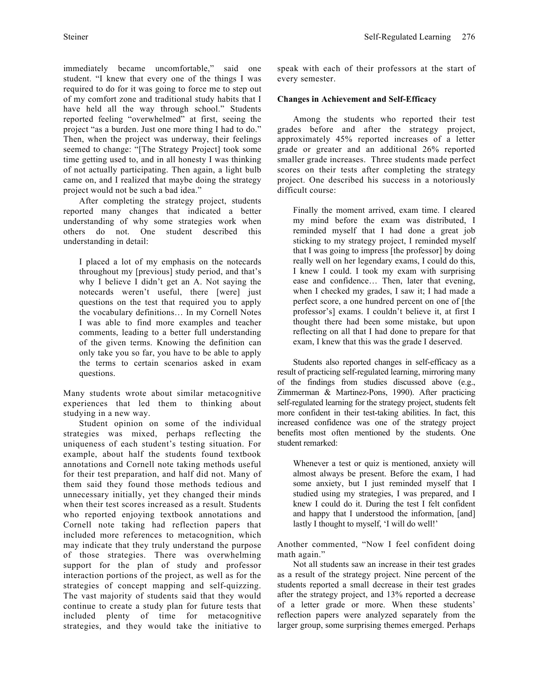immediately became uncomfortable," said one student. "I knew that every one of the things I was required to do for it was going to force me to step out of my comfort zone and traditional study habits that I have held all the way through school." Students reported feeling "overwhelmed" at first, seeing the project "as a burden. Just one more thing I had to do." Then, when the project was underway, their feelings seemed to change: "[The Strategy Project] took some time getting used to, and in all honesty I was thinking of not actually participating. Then again, a light bulb came on, and I realized that maybe doing the strategy project would not be such a bad idea."

After completing the strategy project, students reported many changes that indicated a better understanding of why some strategies work when others do not. One student described this understanding in detail:

I placed a lot of my emphasis on the notecards throughout my [previous] study period, and that's why I believe I didn't get an A. Not saying the notecards weren't useful, there [were] just questions on the test that required you to apply the vocabulary definitions… In my Cornell Notes I was able to find more examples and teacher comments, leading to a better full understanding of the given terms. Knowing the definition can only take you so far, you have to be able to apply the terms to certain scenarios asked in exam questions.

Many students wrote about similar metacognitive experiences that led them to thinking about studying in a new way.

Student opinion on some of the individual strategies was mixed, perhaps reflecting the uniqueness of each student's testing situation. For example, about half the students found textbook annotations and Cornell note taking methods useful for their test preparation, and half did not. Many of them said they found those methods tedious and unnecessary initially, yet they changed their minds when their test scores increased as a result. Students who reported enjoying textbook annotations and Cornell note taking had reflection papers that included more references to metacognition, which may indicate that they truly understand the purpose of those strategies. There was overwhelming support for the plan of study and professor interaction portions of the project, as well as for the strategies of concept mapping and self-quizzing. The vast majority of students said that they would continue to create a study plan for future tests that included plenty of time for metacognitive strategies, and they would take the initiative to

speak with each of their professors at the start of every semester.

#### **Changes in Achievement and Self-Efficacy**

Among the students who reported their test grades before and after the strategy project, approximately 45% reported increases of a letter grade or greater and an additional 26% reported smaller grade increases. Three students made perfect scores on their tests after completing the strategy project. One described his success in a notoriously difficult course:

Finally the moment arrived, exam time. I cleared my mind before the exam was distributed, I reminded myself that I had done a great job sticking to my strategy project, I reminded myself that I was going to impress [the professor] by doing really well on her legendary exams, I could do this, I knew I could. I took my exam with surprising ease and confidence… Then, later that evening, when I checked my grades, I saw it; I had made a perfect score, a one hundred percent on one of [the professor's] exams. I couldn't believe it, at first I thought there had been some mistake, but upon reflecting on all that I had done to prepare for that exam, I knew that this was the grade I deserved.

Students also reported changes in self-efficacy as a result of practicing self-regulated learning, mirroring many of the findings from studies discussed above (e.g., Zimmerman & Martinez-Pons, 1990). After practicing self-regulated learning for the strategy project, students felt more confident in their test-taking abilities. In fact, this increased confidence was one of the strategy project benefits most often mentioned by the students. One student remarked:

Whenever a test or quiz is mentioned, anxiety will almost always be present. Before the exam, I had some anxiety, but I just reminded myself that I studied using my strategies, I was prepared, and I knew I could do it. During the test I felt confident and happy that I understood the information, [and] lastly I thought to myself, 'I will do well!'

Another commented, "Now I feel confident doing math again."

Not all students saw an increase in their test grades as a result of the strategy project. Nine percent of the students reported a small decrease in their test grades after the strategy project, and 13% reported a decrease of a letter grade or more. When these students' reflection papers were analyzed separately from the larger group, some surprising themes emerged. Perhaps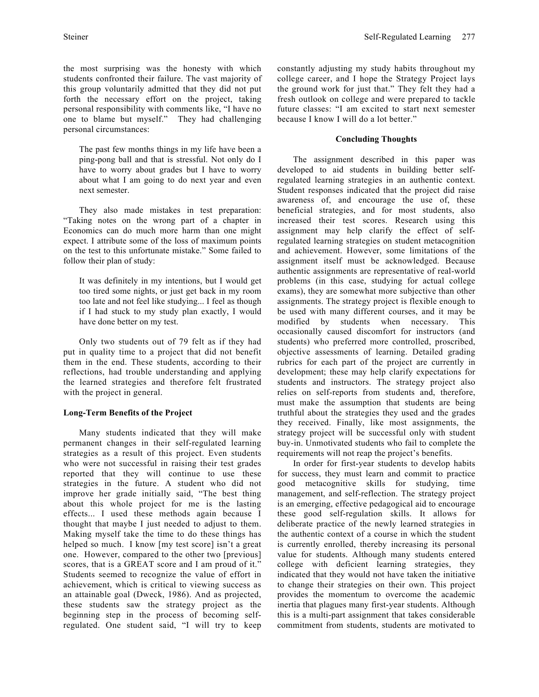the most surprising was the honesty with which students confronted their failure. The vast majority of this group voluntarily admitted that they did not put forth the necessary effort on the project, taking personal responsibility with comments like, "I have no one to blame but myself." They had challenging personal circumstances:

The past few months things in my life have been a ping-pong ball and that is stressful. Not only do I have to worry about grades but I have to worry about what I am going to do next year and even next semester.

They also made mistakes in test preparation: "Taking notes on the wrong part of a chapter in Economics can do much more harm than one might expect. I attribute some of the loss of maximum points on the test to this unfortunate mistake." Some failed to follow their plan of study:

It was definitely in my intentions, but I would get too tired some nights, or just get back in my room too late and not feel like studying... I feel as though if I had stuck to my study plan exactly, I would have done better on my test.

Only two students out of 79 felt as if they had put in quality time to a project that did not benefit them in the end. These students, according to their reflections, had trouble understanding and applying the learned strategies and therefore felt frustrated with the project in general.

#### **Long-Term Benefits of the Project**

Many students indicated that they will make permanent changes in their self-regulated learning strategies as a result of this project. Even students who were not successful in raising their test grades reported that they will continue to use these strategies in the future. A student who did not improve her grade initially said, "The best thing about this whole project for me is the lasting effects... I used these methods again because I thought that maybe I just needed to adjust to them. Making myself take the time to do these things has helped so much. I know  $[my \text{ test score}]$  isn't a great one. However, compared to the other two [previous] scores, that is a GREAT score and I am proud of it." Students seemed to recognize the value of effort in achievement, which is critical to viewing success as an attainable goal (Dweck, 1986). And as projected, these students saw the strategy project as the beginning step in the process of becoming selfregulated. One student said, "I will try to keep

constantly adjusting my study habits throughout my college career, and I hope the Strategy Project lays the ground work for just that." They felt they had a fresh outlook on college and were prepared to tackle future classes: "I am excited to start next semester because I know I will do a lot better."

#### **Concluding Thoughts**

The assignment described in this paper was developed to aid students in building better selfregulated learning strategies in an authentic context. Student responses indicated that the project did raise awareness of, and encourage the use of, these beneficial strategies, and for most students, also increased their test scores. Research using this assignment may help clarify the effect of selfregulated learning strategies on student metacognition and achievement. However, some limitations of the assignment itself must be acknowledged. Because authentic assignments are representative of real-world problems (in this case, studying for actual college exams), they are somewhat more subjective than other assignments. The strategy project is flexible enough to be used with many different courses, and it may be modified by students when necessary. This occasionally caused discomfort for instructors (and students) who preferred more controlled, proscribed, objective assessments of learning. Detailed grading rubrics for each part of the project are currently in development; these may help clarify expectations for students and instructors. The strategy project also relies on self-reports from students and, therefore, must make the assumption that students are being truthful about the strategies they used and the grades they received. Finally, like most assignments, the strategy project will be successful only with student buy-in. Unmotivated students who fail to complete the requirements will not reap the project's benefits.

In order for first-year students to develop habits for success, they must learn and commit to practice good metacognitive skills for studying, time management, and self-reflection. The strategy project is an emerging, effective pedagogical aid to encourage these good self-regulation skills. It allows for deliberate practice of the newly learned strategies in the authentic context of a course in which the student is currently enrolled, thereby increasing its personal value for students. Although many students entered college with deficient learning strategies, they indicated that they would not have taken the initiative to change their strategies on their own. This project provides the momentum to overcome the academic inertia that plagues many first-year students. Although this is a multi-part assignment that takes considerable commitment from students, students are motivated to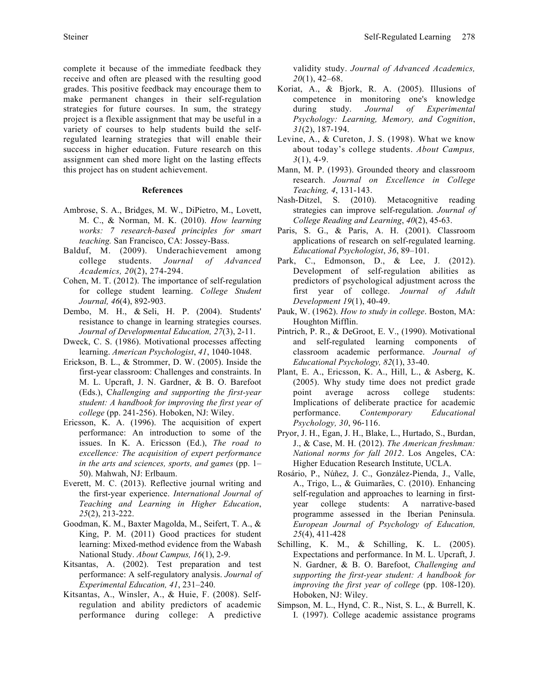complete it because of the immediate feedback they receive and often are pleased with the resulting good grades. This positive feedback may encourage them to make permanent changes in their self-regulation strategies for future courses. In sum, the strategy project is a flexible assignment that may be useful in a variety of courses to help students build the selfregulated learning strategies that will enable their success in higher education. Future research on this assignment can shed more light on the lasting effects this project has on student achievement.

# **References**

- Ambrose, S. A., Bridges, M. W., DiPietro, M., Lovett, M. C., & Norman, M. K. (2010). *How learning works: 7 research-based principles for smart teaching.* San Francisco, CA: Jossey-Bass.
- Balduf, M. (2009). Underachievement among college students. *Journal of Advanced Academics, 20*(2), 274-294.
- Cohen, M. T. (2012). The importance of self-regulation for college student learning. *College Student Journal, 46*(4), 892-903.
- Dembo, M. H., & Seli, H. P. (2004). Students' resistance to change in learning strategies courses. *Journal of Developmental Education, 27*(3), 2-11.
- Dweck, C. S. (1986). Motivational processes affecting learning. *American Psychologist*, *41*, 1040-1048.
- Erickson, B. L., & Strommer, D. W. (2005). Inside the first-year classroom: Challenges and constraints. In M. L. Upcraft, J. N. Gardner, & B. O. Barefoot (Eds.), C*hallenging and supporting the first-year student: A handbook for improving the first year of college* (pp. 241-256). Hoboken, NJ: Wiley.
- Ericsson, K. A. (1996). The acquisition of expert performance: An introduction to some of the issues. In K. A. Ericsson (Ed.), *The road to excellence: The acquisition of expert performance in the arts and sciences, sports, and games* (pp. 1– 50). Mahwah, NJ: Erlbaum.
- Everett, M. C. (2013). Reflective journal writing and the first-year experience. *International Journal of Teaching and Learning in Higher Education*, *25*(2), 213-222.
- Goodman, K. M., Baxter Magolda, M., Seifert, T. A., & King, P. M. (2011) Good practices for student learning: Mixed-method evidence from the Wabash National Study. *About Campus, 16*(1), 2-9.
- Kitsantas, A. (2002). Test preparation and test performance: A self-regulatory analysis. *Journal of Experimental Education, 41*, 231–240.
- Kitsantas, A., Winsler, A., & Huie, F. (2008). Selfregulation and ability predictors of academic performance during college: A predictive

validity study. *Journal of Advanced Academics, 20*(1), 42–68.

- Koriat, A., & Bjork, R. A. (2005). Illusions of competence in monitoring one's knowledge during study. *Journal of Experimental Psychology: Learning, Memory, and Cognition*, *31*(2), 187-194.
- Levine, A., & Cureton, J. S. (1998). What we know about today's college students. *About Campus, 3*(1), 4-9.
- Mann, M. P. (1993). Grounded theory and classroom research. *Journal on Excellence in College Teaching, 4*, 131-143.
- Nash-Ditzel, S. (2010). Metacognitive reading strategies can improve self-regulation. *Journal of College Reading and Learning*, *40*(2), 45-63.
- Paris, S. G., & Paris, A. H. (2001). Classroom applications of research on self-regulated learning. *Educational Psychologist*, *36*, 89–101.
- Park, C., Edmonson, D., & Lee, J. (2012). Development of self-regulation abilities as predictors of psychological adjustment across the first year of college. *Journal of Adult Development 19*(1), 40-49.
- Pauk, W. (1962). *How to study in college*. Boston, MA: Houghton Mifflin.
- Pintrich, P. R., & DeGroot, E. V., (1990). Motivational and self-regulated learning components of classroom academic performance. *Journal of Educational Psychology, 82*(1), 33-40.
- Plant, E. A., Ericsson, K. A., Hill, L., & Asberg, K. (2005). Why study time does not predict grade point average across college students: Implications of deliberate practice for academic performance. *Contemporary Educational Psychology, 30*, 96-116.
- Pryor, J. H., Egan, J. H., Blake, L., Hurtado, S., Burdan, J., & Case, M. H. (2012). *The American freshman: National norms for fall 2012*. Los Angeles, CA: Higher Education Research Institute, UCLA.
- Rosário, P., Núñez, J. C., González-Pienda, J., Valle, A., Trigo, L., & Guimarães, C. (2010). Enhancing self-regulation and approaches to learning in firstyear college students: A narrative-based programme assessed in the Iberian Peninsula. *European Journal of Psychology of Education, 25*(4), 411-428
- Schilling, K. M., & Schilling, K. L. (2005). Expectations and performance. In M. L. Upcraft, J. N. Gardner, & B. O. Barefoot, *Challenging and supporting the first-year student: A handbook for improving the first year of college* (pp. 108-120). Hoboken, NJ: Wiley.
- Simpson, M. L., Hynd, C. R., Nist, S. L., & Burrell, K. I. (1997). College academic assistance programs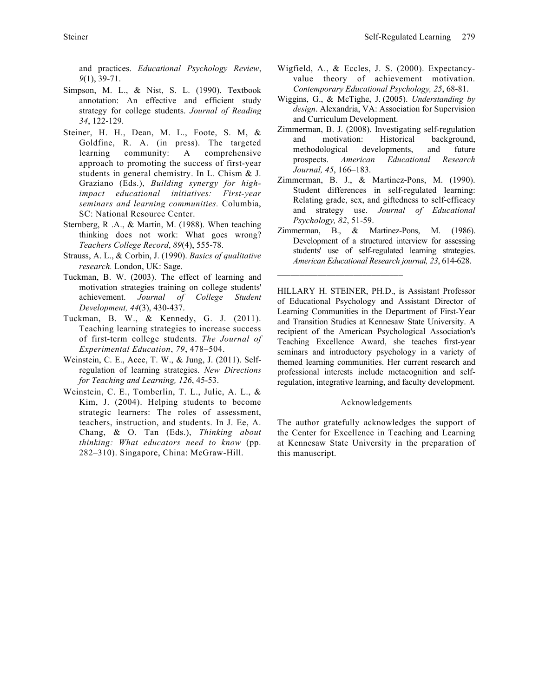and practices. *Educational Psychology Review*, *9*(1), 39-71.

- Simpson, M. L., & Nist, S. L. (1990). Textbook annotation: An effective and efficient study strategy for college students. *Journal of Reading 34*, 122-129.
- Steiner, H. H., Dean, M. L., Foote, S. M, & Goldfine, R. A. (in press). The targeted learning community: A comprehensive approach to promoting the success of first-year students in general chemistry. In L. Chism & J. Graziano (Eds.), *Building synergy for highimpact educational initiatives: First-year seminars and learning communities.* Columbia, SC: National Resource Center.
- Sternberg, R .A., & Martin, M. (1988). When teaching thinking does not work: What goes wrong? *Teachers College Record*, *89*(4), 555-78.
- Strauss, A. L., & Corbin, J. (1990). *Basics of qualitative research.* London, UK: Sage.
- Tuckman, B. W. (2003). The effect of learning and motivation strategies training on college students' achievement. *Journal of College Student Development, 44*(3), 430-437.
- Tuckman, B. W., & Kennedy, G. J. (2011). Teaching learning strategies to increase success of first-term college students. *The Journal of Experimental Education*, *79*, 478–504.
- Weinstein, C. E., Acee, T. W., & Jung, J. (2011). Selfregulation of learning strategies. *New Directions for Teaching and Learning, 126*, 45-53.
- Weinstein, C. E., Tomberlin, T. L., Julie, A. L., & Kim, J. (2004). Helping students to become strategic learners: The roles of assessment, teachers, instruction, and students. In J. Ee, A. Chang, & O. Tan (Eds.), *Thinking about thinking: What educators need to know* (pp. 282–310). Singapore, China: McGraw-Hill.
- Wigfield, A., & Eccles, J. S. (2000). Expectancyvalue theory of achievement motivation. *Contemporary Educational Psychology, 25*, 68-81.
- Wiggins, G., & McTighe, J. (2005). *Understanding by design*. Alexandria, VA: Association for Supervision and Curriculum Development.
- Zimmerman, B. J. (2008). Investigating self-regulation and motivation: Historical background, methodological developments, and future prospects. *American Educational Research Journal, 45*, 166–183.
- Zimmerman, B. J., & Martinez-Pons, M. (1990). Student differences in self-regulated learning: Relating grade, sex, and giftedness to self-efficacy and strategy use. *Journal of Educational Psychology, 82*, 51-59.
- Zimmerman, B., & Martinez-Pons, M. (1986). Development of a structured interview for assessing students' use of self-regulated learning strategies. *American Educational Research journal, 23*, 614-628.

HILLARY H. STEINER, PH.D., is Assistant Professor of Educational Psychology and Assistant Director of Learning Communities in the Department of First-Year and Transition Studies at Kennesaw State University. A recipient of the American Psychological Association's Teaching Excellence Award, she teaches first-year seminars and introductory psychology in a variety of themed learning communities. Her current research and professional interests include metacognition and selfregulation, integrative learning, and faculty development.

#### Acknowledgements

The author gratefully acknowledges the support of the Center for Excellence in Teaching and Learning at Kennesaw State University in the preparation of this manuscript.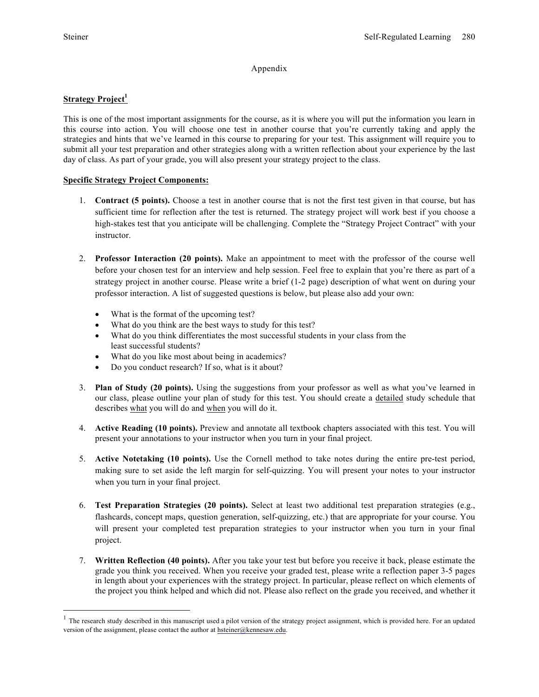# Appendix

# **Strategy Project**<sup>1</sup>

This is one of the most important assignments for the course, as it is where you will put the information you learn in this course into action. You will choose one test in another course that you're currently taking and apply the strategies and hints that we've learned in this course to preparing for your test. This assignment will require you to submit all your test preparation and other strategies along with a written reflection about your experience by the last day of class. As part of your grade, you will also present your strategy project to the class.

### **Specific Strategy Project Components:**

- 1. **Contract (5 points).** Choose a test in another course that is not the first test given in that course, but has sufficient time for reflection after the test is returned. The strategy project will work best if you choose a high-stakes test that you anticipate will be challenging. Complete the "Strategy Project Contract" with your instructor.
- 2. **Professor Interaction (20 points).** Make an appointment to meet with the professor of the course well before your chosen test for an interview and help session. Feel free to explain that you're there as part of a strategy project in another course. Please write a brief (1-2 page) description of what went on during your professor interaction. A list of suggested questions is below, but please also add your own:
	- What is the format of the upcoming test?
	- What do you think are the best ways to study for this test?
	- What do you think differentiates the most successful students in your class from the least successful students?
	- What do you like most about being in academics?
	- Do you conduct research? If so, what is it about?
- 3. **Plan of Study (20 points).** Using the suggestions from your professor as well as what you've learned in our class, please outline your plan of study for this test. You should create a detailed study schedule that describes what you will do and when you will do it.
- 4. **Active Reading (10 points).** Preview and annotate all textbook chapters associated with this test. You will present your annotations to your instructor when you turn in your final project.
- 5. **Active Notetaking (10 points).** Use the Cornell method to take notes during the entire pre-test period, making sure to set aside the left margin for self-quizzing. You will present your notes to your instructor when you turn in your final project.
- 6. **Test Preparation Strategies (20 points).** Select at least two additional test preparation strategies (e.g., flashcards, concept maps, question generation, self-quizzing, etc.) that are appropriate for your course. You will present your completed test preparation strategies to your instructor when you turn in your final project.
- 7. **Written Reflection (40 points).** After you take your test but before you receive it back, please estimate the grade you think you received. When you receive your graded test, please write a reflection paper 3-5 pages in length about your experiences with the strategy project. In particular, please reflect on which elements of the project you think helped and which did not. Please also reflect on the grade you received, and whether it

 $<sup>1</sup>$  The research study described in this manuscript used a pilot version of the strategy project assignment, which is provided here. For an updated</sup> version of the assignment, please contact the author at hsteiner@kennesaw.edu.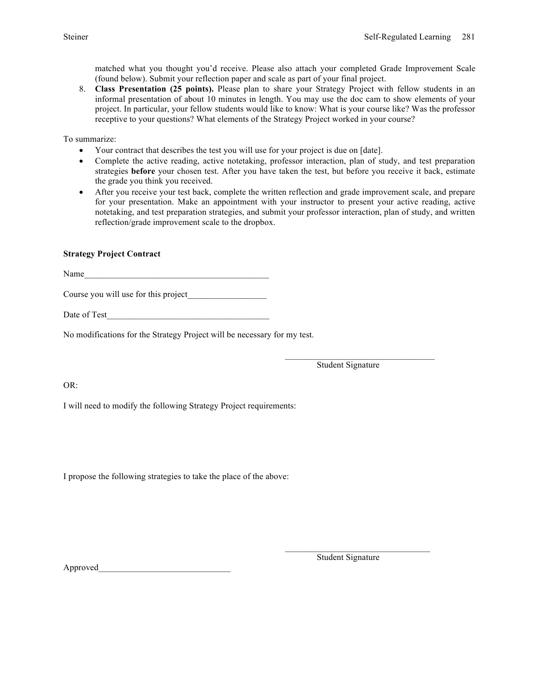matched what you thought you'd receive. Please also attach your completed Grade Improvement Scale (found below). Submit your reflection paper and scale as part of your final project.

8. **Class Presentation (25 points).** Please plan to share your Strategy Project with fellow students in an informal presentation of about 10 minutes in length. You may use the doc cam to show elements of your project. In particular, your fellow students would like to know: What is your course like? Was the professor receptive to your questions? What elements of the Strategy Project worked in your course?

To summarize:

- Your contract that describes the test you will use for your project is due on [date].
- Complete the active reading, active notetaking, professor interaction, plan of study, and test preparation strategies **before** your chosen test. After you have taken the test, but before you receive it back, estimate the grade you think you received.
- After you receive your test back, complete the written reflection and grade improvement scale, and prepare for your presentation. Make an appointment with your instructor to present your active reading, active notetaking, and test preparation strategies, and submit your professor interaction, plan of study, and written reflection/grade improvement scale to the dropbox.

### **Strategy Project Contract**

Name

Course you will use for this project\_

Date of Test

No modifications for the Strategy Project will be necessary for my test.

Student Signature

 $\mathcal{L}_\text{max}$  and  $\mathcal{L}_\text{max}$  and  $\mathcal{L}_\text{max}$  and  $\mathcal{L}_\text{max}$ 

OR:

I will need to modify the following Strategy Project requirements:

I propose the following strategies to take the place of the above:

Approved

Student Signature